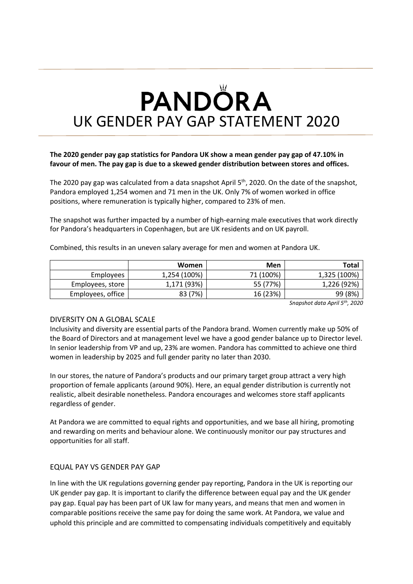# **PANDÖRA** UK GENDER PAY GAP STATEMENT 2020

## **The 2020 gender pay gap statistics for Pandora UK show a mean gender pay gap of 47.10% in favour of men. The pay gap is due to a skewed gender distribution between stores and offices.**

The 2020 pay gap was calculated from a data snapshot April  $5<sup>th</sup>$ , 2020. On the date of the snapshot, Pandora employed 1,254 women and 71 men in the UK. Only 7% of women worked in office positions, where remuneration is typically higher, compared to 23% of men.

The snapshot was further impacted by a number of high-earning male executives that work directly for Pandora's headquarters in Copenhagen, but are UK residents and on UK payroll.

Combined, this results in an uneven salary average for men and women at Pandora UK.

|                   | <b>Women</b> | Men       | Total        |
|-------------------|--------------|-----------|--------------|
| Employees         | 1,254 (100%) | 71 (100%) | 1,325 (100%) |
| Employees, store  | 1,171 (93%)  | 55 (77%)  | 1,226 (92%)  |
| Employees, office | 83 (7%)      | 16 (23%)  | 99 (8%)      |

*Snapshot data April 5th, 2020*

#### DIVERSITY ON A GLOBAL SCALE

Inclusivity and diversity are essential parts of the Pandora brand. Women currently make up 50% of the Board of Directors and at management level we have a good gender balance up to Director level. In senior leadership from VP and up, 23% are women. Pandora has committed to achieve one third women in leadership by 2025 and full gender parity no later than 2030.

In our stores, the nature of Pandora's products and our primary target group attract a very high proportion of female applicants (around 90%). Here, an equal gender distribution is currently not realistic, albeit desirable nonetheless. Pandora encourages and welcomes store staff applicants regardless of gender.

At Pandora we are committed to equal rights and opportunities, and we base all hiring, promoting and rewarding on merits and behaviour alone. We continuously monitor our pay structures and opportunities for all staff.

#### EQUAL PAY VS GENDER PAY GAP

In line with the UK regulations governing gender pay reporting, Pandora in the UK is reporting our UK gender pay gap. It is important to clarify the difference between equal pay and the UK gender pay gap. Equal pay has been part of UK law for many years, and means that men and women in comparable positions receive the same pay for doing the same work. At Pandora, we value and uphold this principle and are committed to compensating individuals competitively and equitably